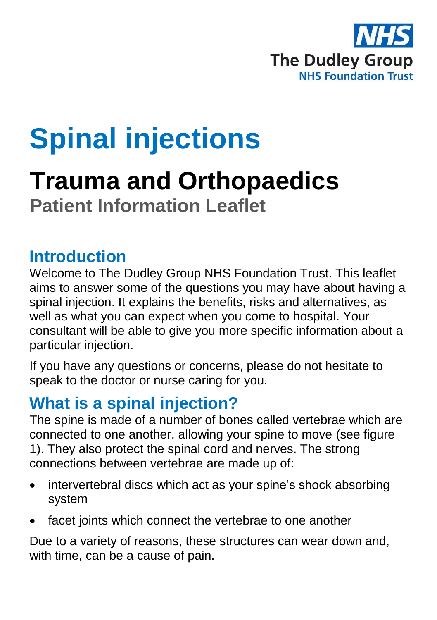

# **Spinal injections**

## **Trauma and Orthopaedics Patient Information Leaflet**

### **Introduction**

Welcome to The Dudley Group NHS Foundation Trust. This leaflet aims to answer some of the questions you may have about having a spinal injection. It explains the benefits, risks and alternatives, as well as what you can expect when you come to hospital. Your consultant will be able to give you more specific information about a particular injection.

If you have any questions or concerns, please do not hesitate to speak to the doctor or nurse caring for you.

### **What is a spinal injection?**

The spine is made of a number of bones called vertebrae which are connected to one another, allowing your spine to move (see figure 1). They also protect the spinal cord and nerves. The strong connections between vertebrae are made up of:

- intervertebral discs which act as your spine's shock absorbing system
- facet joints which connect the vertebrae to one another

Due to a variety of reasons, these structures can wear down and, with time, can be a cause of pain.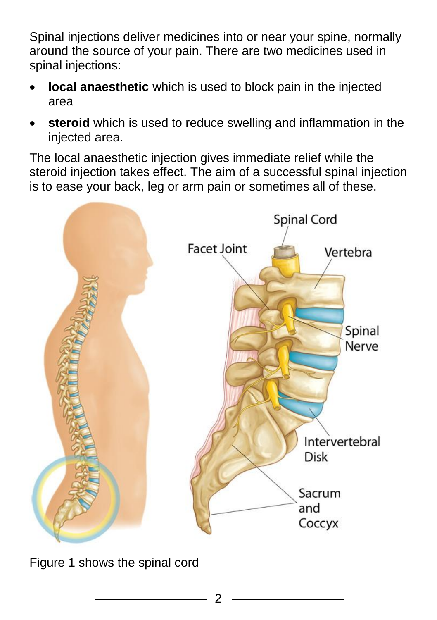Spinal injections deliver medicines into or near your spine, normally around the source of your pain. There are two medicines used in spinal injections:

- **local anaesthetic** which is used to block pain in the injected area
- **steroid** which is used to reduce swelling and inflammation in the injected area.

The local anaesthetic injection gives immediate relief while the steroid injection takes effect. The aim of a successful spinal injection is to ease your back, leg or arm pain or sometimes all of these.



Figure 1 shows the spinal cord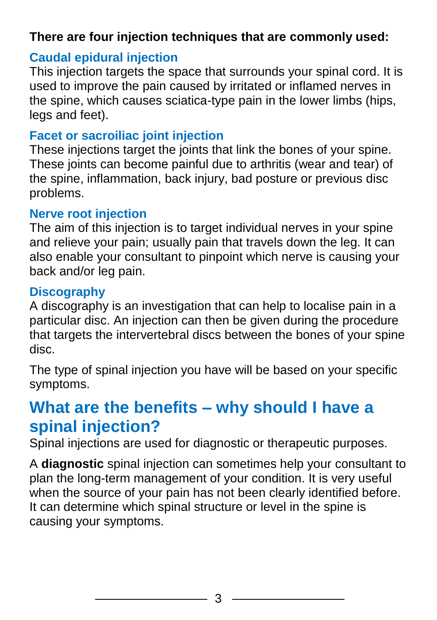#### **There are four injection techniques that are commonly used:**

#### **Caudal epidural injection**

This injection targets the space that surrounds your spinal cord. It is used to improve the pain caused by irritated or inflamed nerves in the spine, which causes sciatica-type pain in the lower limbs (hips, legs and feet).

#### **Facet or sacroiliac joint injection**

These injections target the joints that link the bones of your spine. These joints can become painful due to arthritis (wear and tear) of the spine, inflammation, back injury, bad posture or previous disc problems.

#### **Nerve root injection**

The aim of this injection is to target individual nerves in your spine and relieve your pain; usually pain that travels down the leg. It can also enable your consultant to pinpoint which nerve is causing your back and/or leg pain.

#### **Discography**

A discography is an investigation that can help to localise pain in a particular disc. An injection can then be given during the procedure that targets the intervertebral discs between the bones of your spine disc.

The type of spinal injection you have will be based on your specific symptoms.

### **What are the benefits – why should I have a spinal injection?**

Spinal injections are used for diagnostic or therapeutic purposes.

A **diagnostic** spinal injection can sometimes help your consultant to plan the long-term management of your condition. It is very useful when the source of your pain has not been clearly identified before. It can determine which spinal structure or level in the spine is causing your symptoms.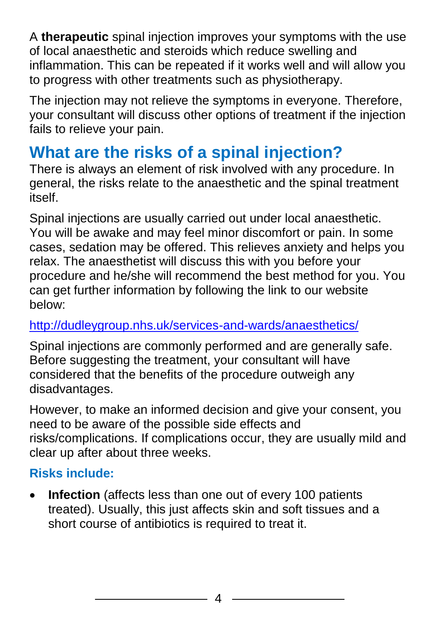A **therapeutic** spinal injection improves your symptoms with the use of local anaesthetic and steroids which reduce swelling and inflammation. This can be repeated if it works well and will allow you to progress with other treatments such as physiotherapy.

The injection may not relieve the symptoms in everyone. Therefore, your consultant will discuss other options of treatment if the injection fails to relieve your pain.

### **What are the risks of a spinal injection?**

There is always an element of risk involved with any procedure. In general, the risks relate to the anaesthetic and the spinal treatment itself.

Spinal injections are usually carried out under local anaesthetic. You will be awake and may feel minor discomfort or pain. In some cases, sedation may be offered. This relieves anxiety and helps you relax. The anaesthetist will discuss this with you before your procedure and he/she will recommend the best method for you. You can get further information by following the link to our website below:

#### <http://dudleygroup.nhs.uk/services-and-wards/anaesthetics/>

Spinal injections are commonly performed and are generally safe. Before suggesting the treatment, your consultant will have considered that the benefits of the procedure outweigh any disadvantages.

However, to make an informed decision and give your consent, you need to be aware of the possible side effects and risks/complications. If complications occur, they are usually mild and clear up after about three weeks.

#### **Risks include:**

 **Infection** (affects less than one out of every 100 patients treated). Usually, this just affects skin and soft tissues and a short course of antibiotics is required to treat it.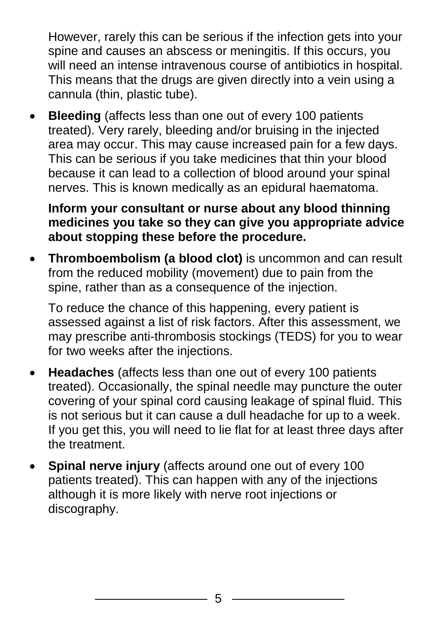However, rarely this can be serious if the infection gets into your spine and causes an abscess or meningitis. If this occurs, you will need an intense intravenous course of antibiotics in hospital. This means that the drugs are given directly into a vein using a cannula (thin, plastic tube).

 **Bleeding** (affects less than one out of every 100 patients treated). Very rarely, bleeding and/or bruising in the injected area may occur. This may cause increased pain for a few days. This can be serious if you take medicines that thin your blood because it can lead to a collection of blood around your spinal nerves. This is known medically as an epidural haematoma.

**Inform your consultant or nurse about any blood thinning medicines you take so they can give you appropriate advice about stopping these before the procedure.**

 **Thromboembolism (a blood clot)** is uncommon and can result from the reduced mobility (movement) due to pain from the spine, rather than as a consequence of the injection.

To reduce the chance of this happening, every patient is assessed against a list of risk factors. After this assessment, we may prescribe anti-thrombosis stockings (TEDS) for you to wear for two weeks after the injections.

- **Headaches** (affects less than one out of every 100 patients treated). Occasionally, the spinal needle may puncture the outer covering of your spinal cord causing leakage of spinal fluid. This is not serious but it can cause a dull headache for up to a week. If you get this, you will need to lie flat for at least three days after the treatment.
- **Spinal nerve injury** (affects around one out of every 100 patients treated). This can happen with any of the injections although it is more likely with nerve root injections or discography.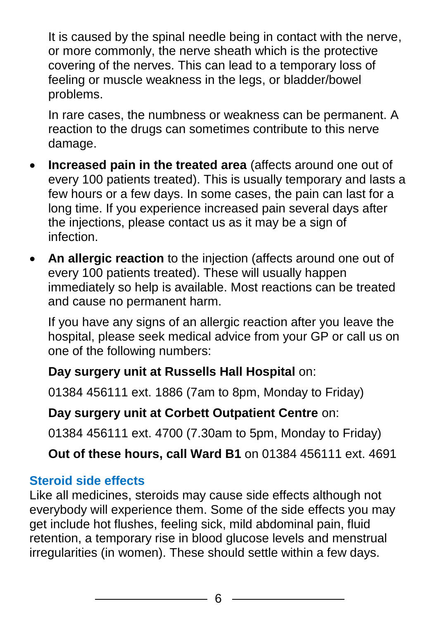It is caused by the spinal needle being in contact with the nerve, or more commonly, the nerve sheath which is the protective covering of the nerves. This can lead to a temporary loss of feeling or muscle weakness in the legs, or bladder/bowel problems.

In rare cases, the numbness or weakness can be permanent. A reaction to the drugs can sometimes contribute to this nerve damage.

- **Increased pain in the treated area** (affects around one out of every 100 patients treated). This is usually temporary and lasts a few hours or a few days. In some cases, the pain can last for a long time. If you experience increased pain several days after the injections, please contact us as it may be a sign of infection.
- **An allergic reaction** to the injection (affects around one out of every 100 patients treated). These will usually happen immediately so help is available. Most reactions can be treated and cause no permanent harm.

If you have any signs of an allergic reaction after you leave the hospital, please seek medical advice from your GP or call us on one of the following numbers:

#### **Day surgery unit at Russells Hall Hospital** on:

01384 456111 ext. 1886 (7am to 8pm, Monday to Friday)

#### **Day surgery unit at Corbett Outpatient Centre** on:

01384 456111 ext. 4700 (7.30am to 5pm, Monday to Friday)

**Out of these hours, call Ward B1** on 01384 456111 ext. 4691

#### **Steroid side effects**

Like all medicines, steroids may cause side effects although not everybody will experience them. Some of the side effects you may get include hot flushes, feeling sick, mild abdominal pain, fluid retention, a temporary rise in blood glucose levels and menstrual irregularities (in women). These should settle within a few days.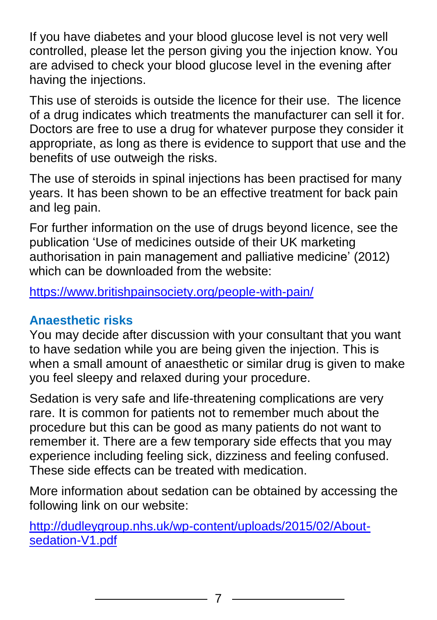If you have diabetes and your blood glucose level is not very well controlled, please let the person giving you the injection know. You are advised to check your blood glucose level in the evening after having the injections.

This use of steroids is outside the licence for their use. The licence of a drug indicates which treatments the manufacturer can sell it for. Doctors are free to use a drug for whatever purpose they consider it appropriate, as long as there is evidence to support that use and the benefits of use outweigh the risks.

The use of steroids in spinal injections has been practised for many years. It has been shown to be an effective treatment for back pain and leg pain.

For further information on the use of drugs beyond licence, see the publication 'Use of medicines outside of their UK marketing authorisation in pain management and palliative medicine' (2012) which can be downloaded from the website:

<https://www.britishpainsociety.org/people-with-pain/>

#### **Anaesthetic risks**

You may decide after discussion with your consultant that you want to have sedation while you are being given the injection. This is when a small amount of anaesthetic or similar drug is given to make you feel sleepy and relaxed during your procedure.

Sedation is very safe and life-threatening complications are very rare. It is common for patients not to remember much about the procedure but this can be good as many patients do not want to remember it. There are a few temporary side effects that you may experience including feeling sick, dizziness and feeling confused. These side effects can be treated with medication.

More information about sedation can be obtained by accessing the following link on our website:

[http://dudleygroup.nhs.uk/wp-content/uploads/2015/02/About](http://dudleygroup.nhs.uk/wp-content/uploads/2015/02/About-sedation-V1.pdf)[sedation-V1.pdf](http://dudleygroup.nhs.uk/wp-content/uploads/2015/02/About-sedation-V1.pdf)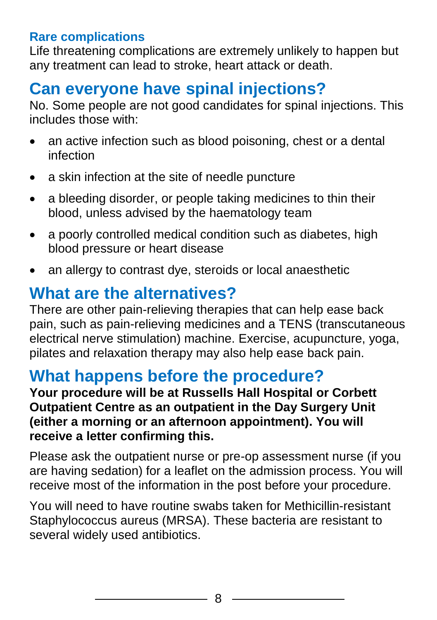#### **Rare complications**

Life threatening complications are extremely unlikely to happen but any treatment can lead to stroke, heart attack or death.

### **Can everyone have spinal injections?**

No. Some people are not good candidates for spinal injections. This includes those with:

- an active infection such as blood poisoning, chest or a dental infection
- a skin infection at the site of needle puncture
- a bleeding disorder, or people taking medicines to thin their blood, unless advised by the haematology team
- a poorly controlled medical condition such as diabetes, high blood pressure or heart disease
- an allergy to contrast dye, steroids or local anaesthetic

### **What are the alternatives?**

There are other pain-relieving therapies that can help ease back pain, such as pain-relieving medicines and a TENS (transcutaneous electrical nerve stimulation) machine. Exercise, acupuncture, yoga, pilates and relaxation therapy may also help ease back pain.

### **What happens before the procedure?**

**Your procedure will be at Russells Hall Hospital or Corbett Outpatient Centre as an outpatient in the Day Surgery Unit (either a morning or an afternoon appointment). You will receive a letter confirming this.**

Please ask the outpatient nurse or pre-op assessment nurse (if you are having sedation) for a leaflet on the admission process. You will receive most of the information in the post before your procedure.

You will need to have routine swabs taken for Methicillin-resistant Staphylococcus aureus (MRSA). These bacteria are resistant to several widely used antibiotics.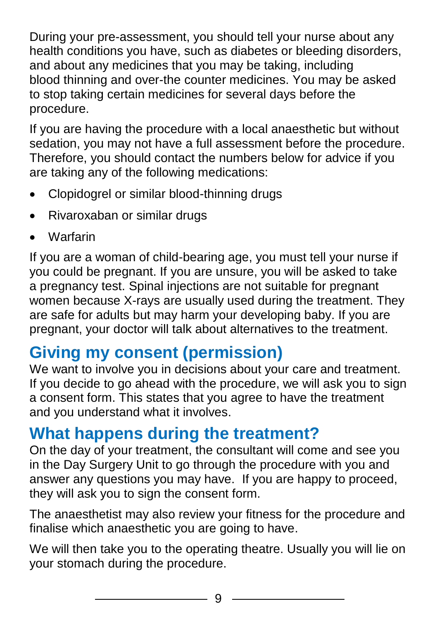During your pre-assessment, you should tell your nurse about any health conditions you have, such as diabetes or bleeding disorders, and about any medicines that you may be taking, including blood thinning and over-the counter medicines. You may be asked to stop taking certain medicines for several days before the procedure.

If you are having the procedure with a local anaesthetic but without sedation, you may not have a full assessment before the procedure. Therefore, you should contact the numbers below for advice if you are taking any of the following medications:

- Clopidogrel or similar blood-thinning drugs
- Rivaroxaban or similar drugs
- **Warfarin**

If you are a woman of child-bearing age, you must tell your nurse if you could be pregnant. If you are unsure, you will be asked to take a pregnancy test. Spinal injections are not suitable for pregnant women because X-rays are usually used during the treatment. They are safe for adults but may harm your developing baby. If you are pregnant, your doctor will talk about alternatives to the treatment.

### **Giving my consent (permission)**

We want to involve you in decisions about your care and treatment. If you decide to go ahead with the procedure, we will ask you to sign a consent form. This states that you agree to have the treatment and you understand what it involves.

### **What happens during the treatment?**

On the day of your treatment, the consultant will come and see you in the Day Surgery Unit to go through the procedure with you and answer any questions you may have. If you are happy to proceed, they will ask you to sign the consent form.

The anaesthetist may also review your fitness for the procedure and finalise which anaesthetic you are going to have.

We will then take you to the operating theatre. Usually you will lie on your stomach during the procedure.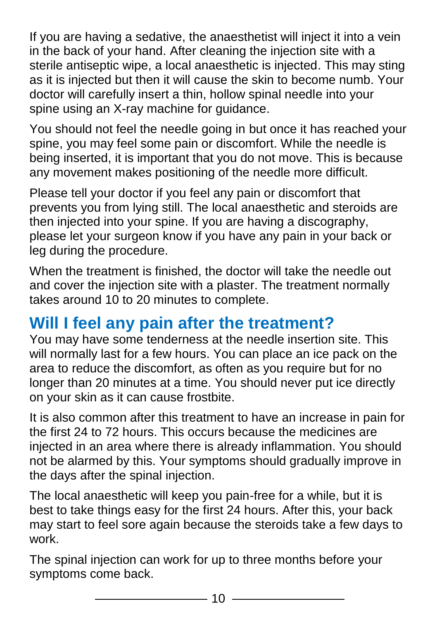If you are having a sedative, the anaesthetist will inject it into a vein in the back of your hand. After cleaning the injection site with a sterile antiseptic wipe, a local anaesthetic is injected. This may sting as it is injected but then it will cause the skin to become numb. Your doctor will carefully insert a thin, hollow spinal needle into your spine using an X-ray machine for guidance.

You should not feel the needle going in but once it has reached your spine, you may feel some pain or discomfort. While the needle is being inserted, it is important that you do not move. This is because any movement makes positioning of the needle more difficult.

Please tell your doctor if you feel any pain or discomfort that prevents you from lying still. The local anaesthetic and steroids are then injected into your spine. If you are having a discography, please let your surgeon know if you have any pain in your back or leg during the procedure.

When the treatment is finished, the doctor will take the needle out and cover the injection site with a plaster. The treatment normally takes around 10 to 20 minutes to complete.

### **Will I feel any pain after the treatment?**

You may have some tenderness at the needle insertion site. This will normally last for a few hours. You can place an ice pack on the area to reduce the discomfort, as often as you require but for no longer than 20 minutes at a time. You should never put ice directly on your skin as it can cause frostbite.

It is also common after this treatment to have an increase in pain for the first 24 to 72 hours. This occurs because the medicines are injected in an area where there is already inflammation. You should not be alarmed by this. Your symptoms should gradually improve in the days after the spinal injection.

The local anaesthetic will keep you pain-free for a while, but it is best to take things easy for the first 24 hours. After this, your back may start to feel sore again because the steroids take a few days to work.

The spinal injection can work for up to three months before your symptoms come back.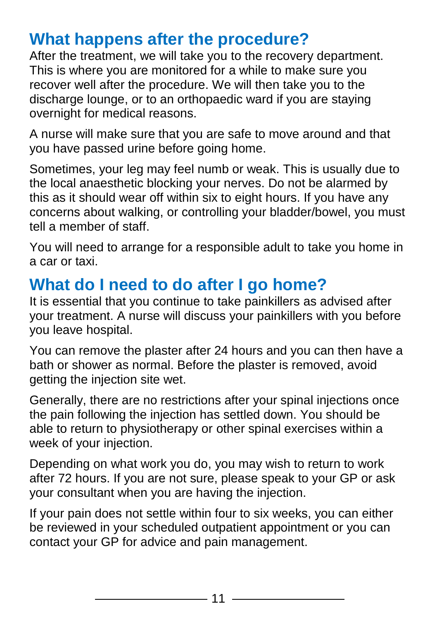### **What happens after the procedure?**

After the treatment, we will take you to the recovery department. This is where you are monitored for a while to make sure you recover well after the procedure. We will then take you to the discharge lounge, or to an orthopaedic ward if you are staying overnight for medical reasons.

A nurse will make sure that you are safe to move around and that you have passed urine before going home.

Sometimes, your leg may feel numb or weak. This is usually due to the local anaesthetic blocking your nerves. Do not be alarmed by this as it should wear off within six to eight hours. If you have any concerns about walking, or controlling your bladder/bowel, you must tell a member of staff.

You will need to arrange for a responsible adult to take you home in a car or taxi.

### **What do I need to do after I go home?**

It is essential that you continue to take painkillers as advised after your treatment. A nurse will discuss your painkillers with you before you leave hospital.

You can remove the plaster after 24 hours and you can then have a bath or shower as normal. Before the plaster is removed, avoid getting the injection site wet.

Generally, there are no restrictions after your spinal injections once the pain following the injection has settled down. You should be able to return to physiotherapy or other spinal exercises within a week of your injection.

Depending on what work you do, you may wish to return to work after 72 hours. If you are not sure, please speak to your GP or ask your consultant when you are having the injection.

If your pain does not settle within four to six weeks, you can either be reviewed in your scheduled outpatient appointment or you can contact your GP for advice and pain management.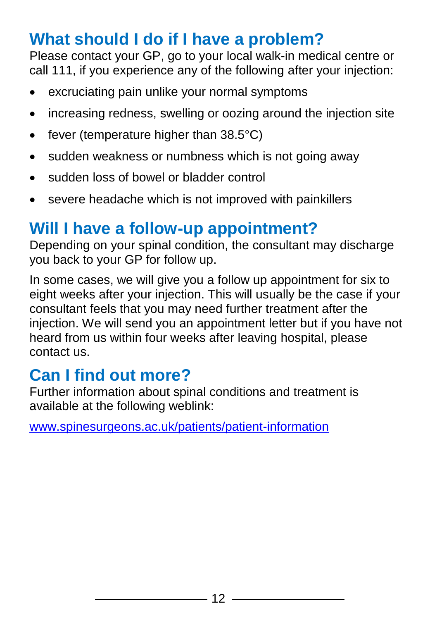### **What should I do if I have a problem?**

Please contact your GP, go to your local walk-in medical centre or call 111, if you experience any of the following after your injection:

- excruciating pain unlike your normal symptoms
- increasing redness, swelling or oozing around the injection site
- fever (temperature higher than  $38.5^{\circ}$ C)
- sudden weakness or numbness which is not going away
- sudden loss of bowel or bladder control
- severe headache which is not improved with painkillers

### **Will I have a follow-up appointment?**

Depending on your spinal condition, the consultant may discharge you back to your GP for follow up.

In some cases, we will give you a follow up appointment for six to eight weeks after your injection. This will usually be the case if your consultant feels that you may need further treatment after the injection. We will send you an appointment letter but if you have not heard from us within four weeks after leaving hospital, please contact us.

### **Can I find out more?**

Further information about spinal conditions and treatment is available at the following weblink:

[www.spinesurgeons.ac.uk/patients/patient-information](http://www.spinesurgeons.ac.uk/patients/patient-information)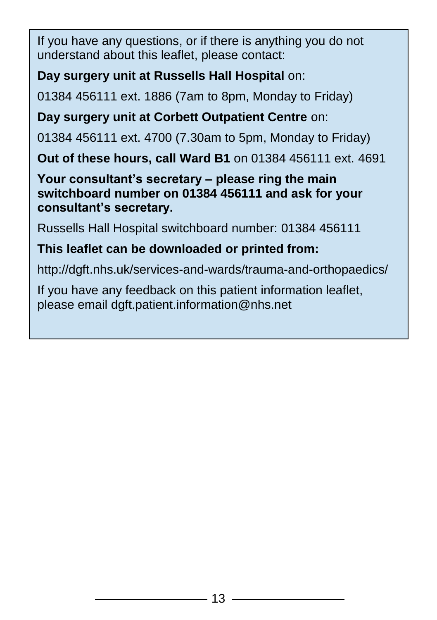If you have any questions, or if there is anything you do not understand about this leaflet, please contact:

#### **Day surgery unit at Russells Hall Hospital** on:

01384 456111 ext. 1886 (7am to 8pm, Monday to Friday)

**Day surgery unit at Corbett Outpatient Centre** on:

01384 456111 ext. 4700 (7.30am to 5pm, Monday to Friday)

**Out of these hours, call Ward B1** on 01384 456111 ext. 4691

**Your consultant's secretary – please ring the main switchboard number on 01384 456111 and ask for your consultant's secretary.**

Russells Hall Hospital switchboard number: 01384 456111

#### **This leaflet can be downloaded or printed from:**

http://dgft.nhs.uk/services-and-wards/trauma-and-orthopaedics/

If you have any feedback on this patient information leaflet, please email dgft.patient.information@nhs.net